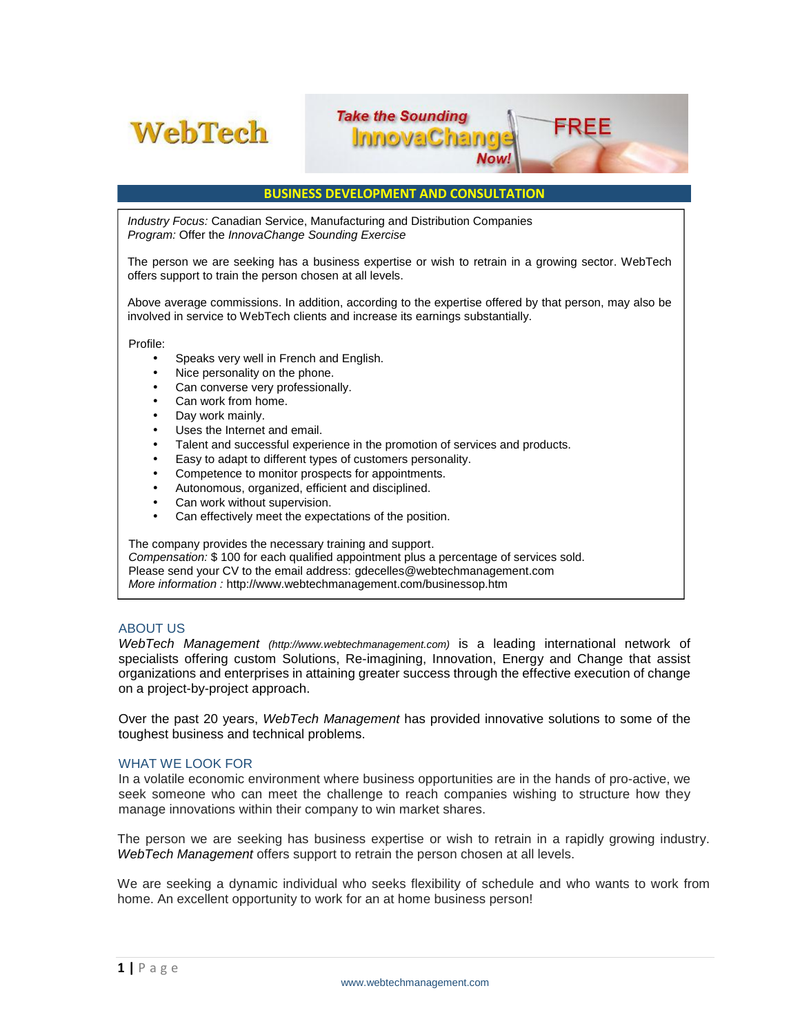

# **BUSINESS DEVELOPMENT AND CONSULTATION**

**Take the Sounding** 

**InnovaChang** 

Now.

*Industry Focus:* Canadian Service, Manufacturing and Distribution Companies *Program:* Offer the *InnovaChange Sounding Exercise*

The person we are seeking has a business expertise or wish to retrain in a growing sector. WebTech offers support to train the person chosen at all levels.

Above average commissions. In addition, according to the expertise offered by that person, may also be involved in service to WebTech clients and increase its earnings substantially.

Profile:

- Speaks very well in French and English.
- Nice personality on the phone.
- Can converse very professionally.
- Can work from home.
- Day work mainly.
- Uses the Internet and email.
- Talent and successful experience in the promotion of services and products.
- Easy to adapt to different types of customers personality.
- Competence to monitor prospects for appointments.
- Autonomous, organized, efficient and disciplined.
- Can work without supervision.
- Can effectively meet the expectations of the position.

The company provides the necessary training and support.

*Compensation:* \$ 100 for each qualified appointment plus a percentage of services sold. Please send your CV to the email address: gdecelles@webtechmanagement.com *More information :* http://www.webtechmanagement.com/businessop.htm

### ABOUT US

*WebTech Management (http://www.webtechmanagement.com)* is a leading international network of specialists offering custom Solutions, Re-imagining, Innovation, Energy and Change that assist organizations and enterprises in attaining greater success through the effective execution of change on a project-by-project approach.

Over the past 20 years, *WebTech Management* has provided innovative solutions to some of the toughest business and technical problems.

#### WHAT WE LOOK FOR

In a volatile economic environment where business opportunities are in the hands of pro-active, we seek someone who can meet the challenge to reach companies wishing to structure how they manage innovations within their company to win market shares.

The person we are seeking has business expertise or wish to retrain in a rapidly growing industry. *WebTech Management* offers support to retrain the person chosen at all levels.

We are seeking a dynamic individual who seeks flexibility of schedule an<br>home. An excellent opportunity to work for an at home business person!<br>**1** | P a g e www.webtechmanagement.com We are seeking a dynamic individual who seeks flexibility of schedule and who wants to work from home. An excellent opportunity to work for an at home business person!